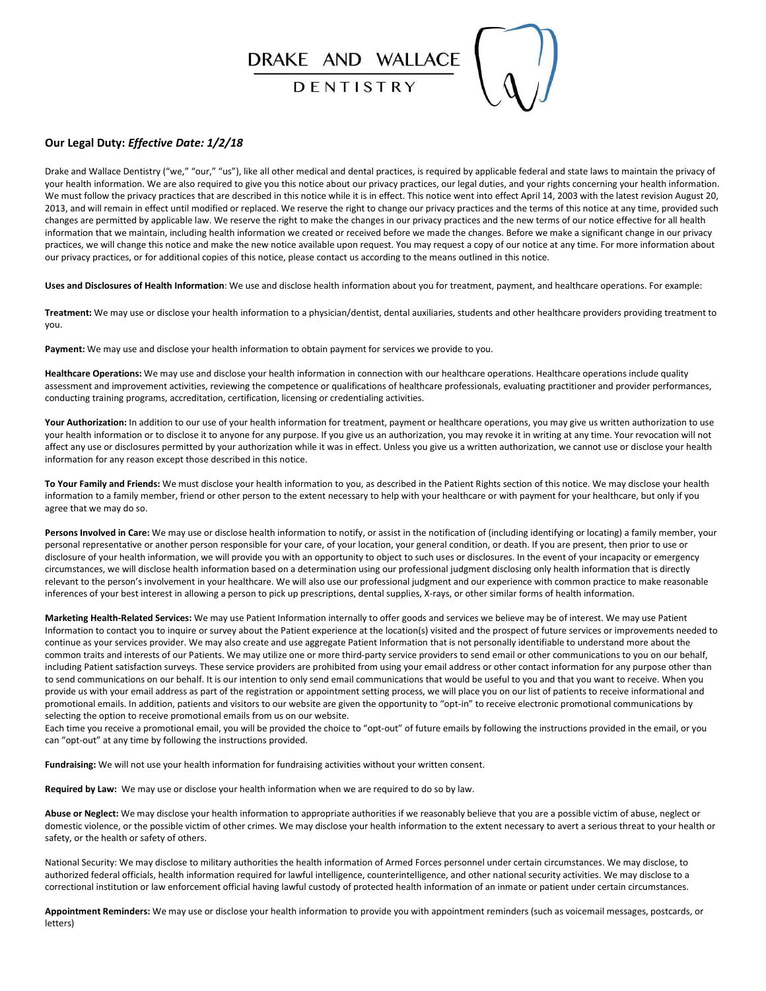# DRAKE AND WALLACE

DENTISTRY

#### **Our Legal Duty:** *Effective Date: 1/2/18*

Drake and Wallace Dentistry ("we," "our," "us"), like all other medical and dental practices, is required by applicable federal and state laws to maintain the privacy of your health information. We are also required to give you this notice about our privacy practices, our legal duties, and your rights concerning your health information. We must follow the privacy practices that are described in this notice while it is in effect. This notice went into effect April 14, 2003 with the latest revision August 20, 2013, and will remain in effect until modified or replaced. We reserve the right to change our privacy practices and the terms of this notice at any time, provided such changes are permitted by applicable law. We reserve the right to make the changes in our privacy practices and the new terms of our notice effective for all health information that we maintain, including health information we created or received before we made the changes. Before we make a significant change in our privacy practices, we will change this notice and make the new notice available upon request. You may request a copy of our notice at any time. For more information about our privacy practices, or for additional copies of this notice, please contact us according to the means outlined in this notice.

**Uses and Disclosures of Health Information**: We use and disclose health information about you for treatment, payment, and healthcare operations. For example:

**Treatment:** We may use or disclose your health information to a physician/dentist, dental auxiliaries, students and other healthcare providers providing treatment to you.

**Payment:** We may use and disclose your health information to obtain payment for services we provide to you.

**Healthcare Operations:** We may use and disclose your health information in connection with our healthcare operations. Healthcare operations include quality assessment and improvement activities, reviewing the competence or qualifications of healthcare professionals, evaluating practitioner and provider performances, conducting training programs, accreditation, certification, licensing or credentialing activities.

Your Authorization: In addition to our use of your health information for treatment, payment or healthcare operations, you may give us written authorization to use your health information or to disclose it to anyone for any purpose. If you give us an authorization, you may revoke it in writing at any time. Your revocation will not affect any use or disclosures permitted by your authorization while it was in effect. Unless you give us a written authorization, we cannot use or disclose your health information for any reason except those described in this notice.

**To Your Family and Friends:** We must disclose your health information to you, as described in the Patient Rights section of this notice. We may disclose your health information to a family member, friend or other person to the extent necessary to help with your healthcare or with payment for your healthcare, but only if you agree that we may do so.

Persons Involved in Care: We may use or disclose health information to notify, or assist in the notification of (including identifying or locating) a family member, your personal representative or another person responsible for your care, of your location, your general condition, or death. If you are present, then prior to use or disclosure of your health information, we will provide you with an opportunity to object to such uses or disclosures. In the event of your incapacity or emergency circumstances, we will disclose health information based on a determination using our professional judgment disclosing only health information that is directly relevant to the person's involvement in your healthcare. We will also use our professional judgment and our experience with common practice to make reasonable inferences of your best interest in allowing a person to pick up prescriptions, dental supplies, X-rays, or other similar forms of health information.

**Marketing Health-Related Services:** We may use Patient Information internally to offer goods and services we believe may be of interest. We may use Patient Information to contact you to inquire or survey about the Patient experience at the location(s) visited and the prospect of future services or improvements needed to continue as your services provider. We may also create and use aggregate Patient Information that is not personally identifiable to understand more about the common traits and interests of our Patients. We may utilize one or more third-party service providers to send email or other communications to you on our behalf, including Patient satisfaction surveys. These service providers are prohibited from using your email address or other contact information for any purpose other than to send communications on our behalf. It is our intention to only send email communications that would be useful to you and that you want to receive. When you provide us with your email address as part of the registration or appointment setting process, we will place you on our list of patients to receive informational and promotional emails. In addition, patients and visitors to our website are given the opportunity to "opt-in" to receive electronic promotional communications by selecting the option to receive promotional emails from us on our website.

Each time you receive a promotional email, you will be provided the choice to "opt-out" of future emails by following the instructions provided in the email, or you can "opt-out" at any time by following the instructions provided.

**Fundraising:** We will not use your health information for fundraising activities without your written consent.

**Required by Law:** We may use or disclose your health information when we are required to do so by law.

**Abuse or Neglect:** We may disclose your health information to appropriate authorities if we reasonably believe that you are a possible victim of abuse, neglect or domestic violence, or the possible victim of other crimes. We may disclose your health information to the extent necessary to avert a serious threat to your health or safety, or the health or safety of others.

National Security: We may disclose to military authorities the health information of Armed Forces personnel under certain circumstances. We may disclose, to authorized federal officials, health information required for lawful intelligence, counterintelligence, and other national security activities. We may disclose to a correctional institution or law enforcement official having lawful custody of protected health information of an inmate or patient under certain circumstances.

**Appointment Reminders:** We may use or disclose your health information to provide you with appointment reminders (such as voicemail messages, postcards, or letters)